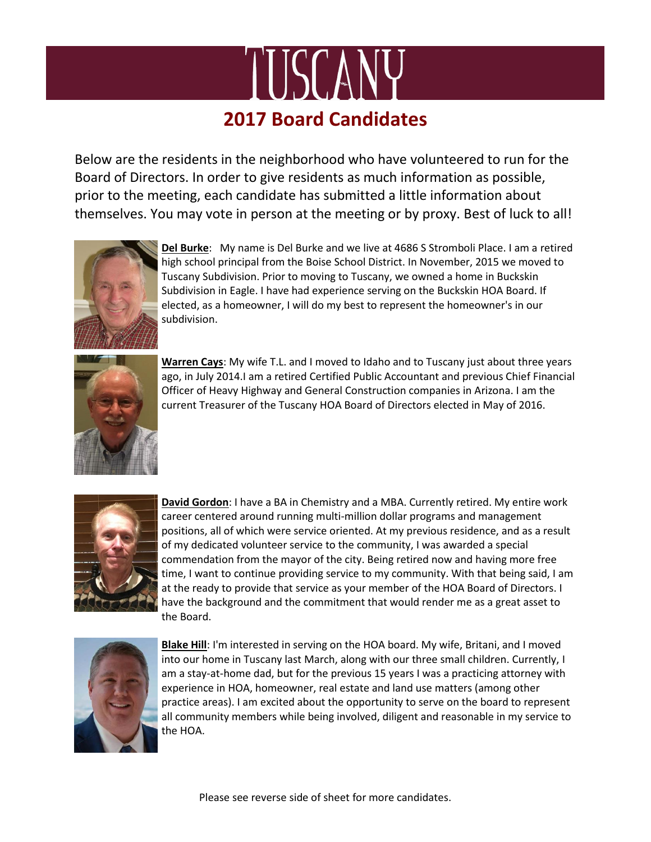

Below are the residents in the neighborhood who have volunteered to run for the Board of Directors. In order to give residents as much information as possible, prior to the meeting, each candidate has submitted a little information about themselves. You may vote in person at the meeting or by proxy. Best of luck to all!



**Del Burke**: My name is Del Burke and we live at 4686 S Stromboli Place. I am a retired high school principal from the Boise School District. In November, 2015 we moved to Tuscany Subdivision. Prior to moving to Tuscany, we owned a home in Buckskin Subdivision in Eagle. I have had experience serving on the Buckskin HOA Board. If elected, as a homeowner, I will do my best to represent the homeowner's in our subdivision.



**Warren Cays**: My wife T.L. and I moved to Idaho and to Tuscany just about three years ago, in July 2014.I am a retired Certified Public Accountant and previous Chief Financial Officer of Heavy Highway and General Construction companies in Arizona. I am the current Treasurer of the Tuscany HOA Board of Directors elected in May of 2016.



**David Gordon**: I have a BA in Chemistry and a MBA. Currently retired. My entire work career centered around running multi-million dollar programs and management positions, all of which were service oriented. At my previous residence, and as a result of my dedicated volunteer service to the community, I was awarded a special commendation from the mayor of the city. Being retired now and having more free time, I want to continue providing service to my community. With that being said, I am at the ready to provide that service as your member of the HOA Board of Directors. I have the background and the commitment that would render me as a great asset to the Board.



**Blake Hill**: I'm interested in serving on the HOA board. My wife, Britani, and I moved into our home in Tuscany last March, along with our three small children. Currently, I am a stay-at-home dad, but for the previous 15 years I was a practicing attorney with experience in HOA, homeowner, real estate and land use matters (among other practice areas). I am excited about the opportunity to serve on the board to represent all community members while being involved, diligent and reasonable in my service to the HOA.